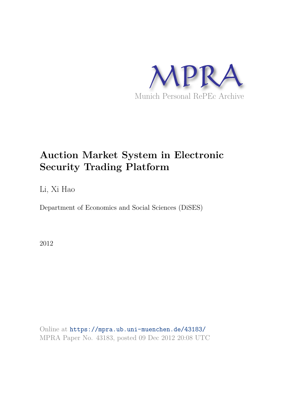

# **Auction Market System in Electronic Security Trading Platform**

Li, Xi Hao

Department of Economics and Social Sciences (DiSES)

2012

Online at https://mpra.ub.uni-muenchen.de/43183/ MPRA Paper No. 43183, posted 09 Dec 2012 20:08 UTC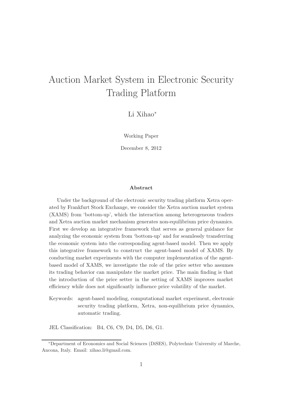# Auction Market System in Electronic Security Trading Platform

Li Xihao<sup>∗</sup>

Working Paper

December 8, 2012

#### Abstract

Under the background of the electronic security trading platform Xetra operated by Frankfurt Stock Exchange, we consider the Xetra auction market system (XAMS) from 'bottom-up', which the interaction among heterogeneous traders and Xetra auction market mechanism generates non-equilibrium price dynamics. First we develop an integrative framework that serves as general guidance for analyzing the economic system from 'bottom-up' and for seamlessly transferring the economic system into the corresponding agent-based model. Then we apply this integrative framework to construct the agent-based model of XAMS. By conducting market experiments with the computer implementation of the agentbased model of XAMS, we investigate the role of the price setter who assumes its trading behavior can manipulate the market price. The main finding is that the introduction of the price setter in the setting of XAMS improves market efficiency while does not significantly influence price volatility of the market.

Keywords: agent-based modeling, computational market experiment, electronic security trading platform, Xetra, non-equilibrium price dynamics, automatic trading.

JEL Classification: B4, C6, C9, D4, D5, D6, G1.

<sup>∗</sup>Department of Economics and Social Sciences (DiSES), Polytechnic University of Marche, Ancona, Italy. Email: xihao.li@gmail.com.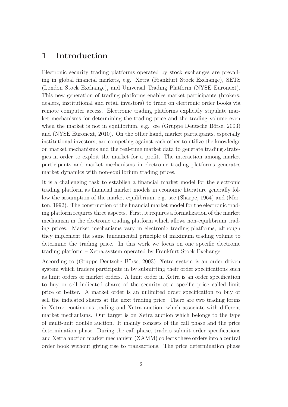## 1 Introduction

Electronic security trading platforms operated by stock exchanges are prevailing in global financial markets, e.g. Xetra (Frankfurt Stock Exchange), SETS (London Stock Exchange), and Universal Trading Platform (NYSE Euronext). This new generation of trading platforms enables market participants (brokers, dealers, institutional and retail investors) to trade on electronic order books via remote computer access. Electronic trading platforms explicitly stipulate market mechanisms for determining the trading price and the trading volume even when the market is not in equilibrium, e.g. see (Gruppe Deutsche Börse,  $2003$ ) and (NYSE Euronext, 2010). On the other hand, market participants, especially institutional investors, are competing against each other to utilize the knowledge on market mechanisms and the real-time market data to generate trading strategies in order to exploit the market for a profit. The interaction among market participants and market mechanisms in electronic trading platforms generates market dynamics with non-equilibrium trading prices.

It is a challenging task to establish a financial market model for the electronic trading platform as financial market models in economic literature generally follow the assumption of the market equilibrium, e.g. see (Sharpe, 1964) and (Merton, 1992). The construction of the financial market model for the electronic trading platform requires three aspects. First, it requires a formalization of the market mechanism in the electronic trading platform which allows non-equilibrium trading prices. Market mechanisms vary in electronic trading platforms, although they implement the same fundamental principle of maximum trading volume to determine the trading price. In this work we focus on one specific electronic trading platform – Xetra system operated by Frankfurt Stock Exchange.

According to (Gruppe Deutsche Börse, 2003), Xetra system is an order driven system which traders participate in by submitting their order specifications such as limit orders or market orders. A limit order in Xetra is an order specification to buy or sell indicated shares of the security at a specific price called limit price or better. A market order is an unlimited order specification to buy or sell the indicated shares at the next trading price. There are two trading forms in Xetra: continuous trading and Xetra auction, which associate with different market mechanisms. Our target is on Xetra auction which belongs to the type of multi-unit double auction. It mainly consists of the call phase and the price determination phase. During the call phase, traders submit order specifications and Xetra auction market mechanism (XAMM) collects these orders into a central order book without giving rise to transactions. The price determination phase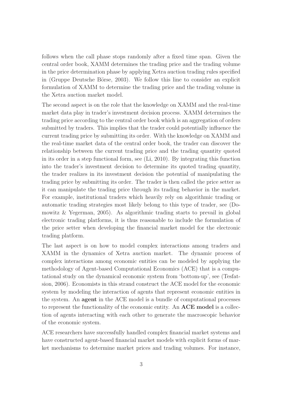follows when the call phase stops randomly after a fixed time span. Given the central order book, XAMM determines the trading price and the trading volume in the price determination phase by applying Xetra auction trading rules specified in (Gruppe Deutsche Börse,  $2003$ ). We follow this line to consider an explicit formulation of XAMM to determine the trading price and the trading volume in the Xetra auction market model.

The second aspect is on the role that the knowledge on XAMM and the real-time market data play in trader's investment decision process. XAMM determines the trading price according to the central order book which is an aggregation of orders submitted by traders. This implies that the trader could potentially influence the current trading price by submitting its order. With the knowledge on XAMM and the real-time market data of the central order book, the trader can discover the relationship between the current trading price and the trading quantity quoted in its order in a step functional form, see (Li, 2010). By integrating this function into the trader's investment decision to determine its quoted trading quantity, the trader realizes in its investment decision the potential of manipulating the trading price by submitting its order. The trader is then called the price setter as it can manipulate the trading price through its trading behavior in the market. For example, institutional traders which heavily rely on algorithmic trading or automatic trading strategies most likely belong to this type of trader, see (Domowitz & Yegerman, 2005). As algorithmic trading starts to prevail in global electronic trading platforms, it is thus reasonable to include the formulation of the price setter when developing the financial market model for the electronic trading platform.

The last aspect is on how to model complex interactions among traders and XAMM in the dynamics of Xetra auction market. The dynamic process of complex interactions among economic entities can be modeled by applying the methodology of Agent-based Computational Economics (ACE) that is a computational study on the dynamical economic system from 'bottom-up', see (Tesfatsion, 2006). Economists in this strand construct the ACE model for the economic system by modeling the interaction of agents that represent economic entities in the system. An agent in the ACE model is a bundle of computational processes to represent the functionality of the economic entity. An ACE model is a collection of agents interacting with each other to generate the macroscopic behavior of the economic system.

ACE researchers have successfully handled complex financial market systems and have constructed agent-based financial market models with explicit forms of market mechanisms to determine market prices and trading volumes. For instance,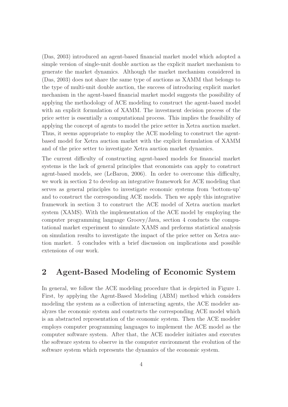(Das, 2003) introduced an agent-based financial market model which adopted a simple version of single-unit double auction as the explicit market mechanism to generate the market dynamics. Although the market mechanism considered in (Das, 2003) does not share the same type of auctions as XAMM that belongs to the type of multi-unit double auction, the success of introducing explicit market mechanism in the agent-based financial market model suggests the possibility of applying the methodology of ACE modeling to construct the agent-based model with an explicit formulation of XAMM. The investment decision process of the price setter is essentially a computational process. This implies the feasibility of applying the concept of agents to model the price setter in Xetra auction market. Thus, it seems appropriate to employ the ACE modeling to construct the agentbased model for Xetra auction market with the explicit formulation of XAMM and of the price setter to investigate Xetra auction market dynamics.

The current difficulty of constructing agent-based models for financial market systems is the lack of general principles that economists can apply to construct agent-based models, see (LeBaron, 2006). In order to overcome this difficulty, we work in section 2 to develop an integrative framework for ACE modeling that serves as general principles to investigate economic systems from 'bottom-up' and to construct the corresponding ACE models. Then we apply this integrative framework in section 3 to construct the ACE model of Xetra auction market system (XAMS). With the implementation of the ACE model by employing the computer programming language Groovy/Java, section 4 conducts the computational market experiment to simulate XAMS and preforms statistical analysis on simulation results to investigate the impact of the price setter on Xetra auction market. 5 concludes with a brief discussion on implications and possible extensions of our work.

# 2 Agent-Based Modeling of Economic System

In general, we follow the ACE modeling procedure that is depicted in Figure 1. First, by applying the Agent-Based Modeling (ABM) method which considers modeling the system as a collection of interacting agents, the ACE modeler analyzes the economic system and constructs the corresponding ACE model which is an abstracted representation of the economic system. Then the ACE modeler employs computer programming languages to implement the ACE model as the computer software system. After that, the ACE modeler initiates and executes the software system to observe in the computer environment the evolution of the software system which represents the dynamics of the economic system.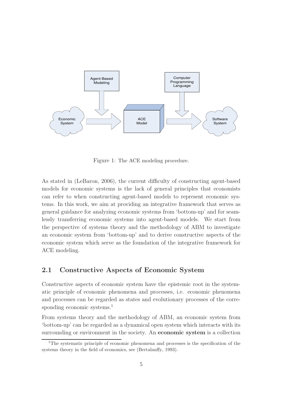

Figure 1: The ACE modeling procedure.

As stated in (LeBaron, 2006), the current difficulty of constructing agent-based models for economic systems is the lack of general principles that economists can refer to when constructing agent-based models to represent economic systems. In this work, we aim at providing an integrative framework that serves as general guidance for analyzing economic systems from 'bottom-up' and for seamlessly transferring economic systems into agent-based models. We start from the perspective of systems theory and the methodology of ABM to investigate an economic system from 'bottom-up' and to derive constructive aspects of the economic system which serve as the foundation of the integrative framework for ACE modeling.

#### 2.1 Constructive Aspects of Economic System

Constructive aspects of economic system have the epistemic root in the systematic principle of economic phenomena and processes, i.e. economic phenomena and processes can be regarded as states and evolutionary processes of the corresponding economic systems.<sup>1</sup>

From systems theory and the methodology of ABM, an economic system from 'bottom-up' can be regarded as a dynamical open system which interacts with its surrounding or environment in the society. An economic system is a collection

<sup>1</sup>The systematic principle of economic phenomena and processes is the specification of the systems theory in the field of economics, see (Bertalanffy, 1993).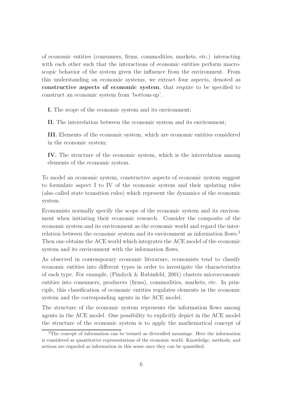of economic entities (consumers, firms, commodities, markets, etc.) interacting with each other such that the interactions of economic entities perform macroscopic behavior of the system given the influence from the environment. From this understanding on economic systems, we extract four aspects, denoted as constructive aspects of economic system, that require to be specified to construct an economic system from 'bottom-up'.

I. The scope of the economic system and its environment;

II. The interrelation between the economic system and its environment;

III. Elements of the economic system, which are economic entities considered in the economic system;

IV. The structure of the economic system, which is the interrelation among elements of the economic system.

To model an economic system, constructive aspects of economic system suggest to formulate aspect I to IV of the economic system and their updating rules (also called state transition rules) which represent the dynamics of the economic system.

Economists normally specify the scope of the economic system and its environment when initiating their economic research. Consider the composite of the economic system and its environment as the economic world and regard the interrelation between the economic system and its environment as information flows.<sup>2</sup> Then one obtains the ACE world which integrates the ACE model of the economic system and its environment with the information flows.

As observed in contemporary economic literature, economists tend to classify economic entities into different types in order to investigate the characteristics of each type. For example, (Pindyck & Rubinfeld, 2001) clusters microeconomic entities into consumers, producers (firms), commodities, markets, etc. In principle, this classification of economic entities regulates elements in the economic system and the corresponding agents in the ACE model.

The structure of the economic system represents the information flows among agents in the ACE model. One possibility to explicitly depict in the ACE model the structure of the economic system is to apply the mathematical concept of

<sup>&</sup>lt;sup>2</sup>The concept of information can be termed as diversified meanings. Here the information is considered as quantitative representations of the economic world. Knowledge, methods, and actions are regarded as information in this sense once they can be quantified.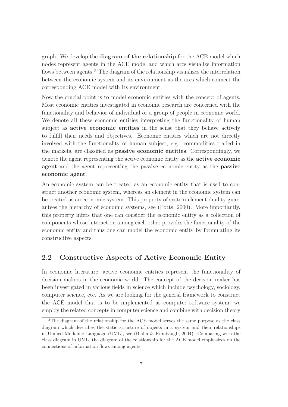graph. We develop the diagram of the relationship for the ACE model which nodes represent agents in the ACE model and which arcs visualize information flows between agents.<sup>3</sup> The diagram of the relationship visualizes the interrelation between the economic system and its environment as the arcs which connect the corresponding ACE model with its environment.

Now the crucial point is to model economic entities with the concept of agents. Most economic entities investigated in economic research are concerned with the functionality and behavior of individual or a group of people in economic world. We denote all these economic entities interpreting the functionality of human subject as active economic entities in the sense that they behave actively to fulfill their needs and objectives. Economic entities which are not directly involved with the functionality of human subject, e.g. commodities traded in the markets, are classified as passive economic entities. Correspondingly, we denote the agent representing the active economic entity as the active economic agent and the agent representing the passive economic entity as the passive economic agent.

An economic system can be treated as an economic entity that is used to construct another economic system, whereas an element in the economic system can be treated as an economic system. This property of system-element duality guarantees the hierarchy of economic systems, see (Potts, 2000). More importantly, this property infers that one can consider the economic entity as a collection of components whose interaction among each other provides the functionality of the economic entity and thus one can model the economic entity by formulating its constructive aspects.

#### 2.2 Constructive Aspects of Active Economic Entity

In economic literature, active economic entities represent the functionality of decision makers in the economic world. The concept of the decision maker has been investigated in various fields in science which include psychology, sociology, computer science, etc. As we are looking for the general framework to construct the ACE model that is to be implemented as computer software system, we employ the related concepts in computer science and combine with decision theory

<sup>&</sup>lt;sup>3</sup>The diagram of the relationship for the ACE model serves the same purpose as the class diagram which describes the static structure of objects in a system and their relationships in Unified Modeling Language (UML), see (Blaha & Rumbaugh, 2004). Comparing with the class diagram in UML, the diagram of the relationship for the ACE model emphasizes on the connections of information flows among agents.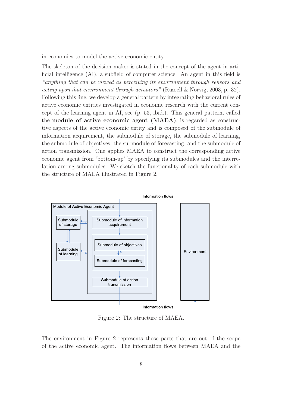in economics to model the active economic entity.

The skeleton of the decision maker is stated in the concept of the agent in artificial intelligence (AI), a subfield of computer science. An agent in this field is *"anything that can be viewed as perceiving its environment through sensors and acting upon that environment through actuators"* (Russell & Norvig, 2003, p. 32). Following this line, we develop a general pattern by integrating behavioral rules of active economic entities investigated in economic research with the current concept of the learning agent in AI, see (p. 53, ibid.). This general pattern, called the module of active economic agent (MAEA), is regarded as constructive aspects of the active economic entity and is composed of the submodule of information acquirement, the submodule of storage, the submodule of learning, the submodule of objectives, the submodule of forecasting, and the submodule of action transmission. One applies MAEA to construct the corresponding active economic agent from 'bottom-up' by specifying its submodules and the interrelation among submodules. We sketch the functionality of each submodule with the structure of MAEA illustrated in Figure 2.



Figure 2: The structure of MAEA.

The environment in Figure 2 represents those parts that are out of the scope of the active economic agent. The information flows between MAEA and the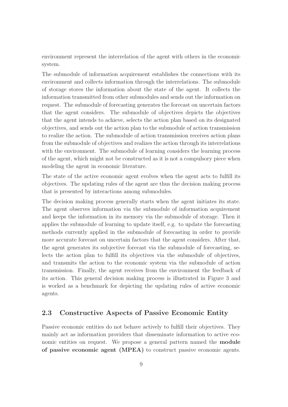environment represent the interrelation of the agent with others in the economic system.

The submodule of information acquirement establishes the connections with its environment and collects information through the interrelations. The submodule of storage stores the information about the state of the agent. It collects the information transmitted from other submodules and sends out the information on request. The submodule of forecasting generates the forecast on uncertain factors that the agent considers. The submodule of objectives depicts the objectives that the agent intends to achieve, selects the action plan based on its designated objectives, and sends out the action plan to the submodule of action transmission to realize the action. The submodule of action transmission receives action plans from the submodule of objectives and realizes the action through its interrelations with the environment. The submodule of learning considers the learning process of the agent, which might not be constructed as it is not a compulsory piece when modeling the agent in economic literature.

The state of the active economic agent evolves when the agent acts to fulfill its objectives. The updating rules of the agent are thus the decision making process that is presented by interactions among submodules.

The decision making process generally starts when the agent initiates its state. The agent observes information via the submodule of information acquirement and keeps the information in its memory via the submodule of storage. Then it applies the submodule of learning to update itself, e.g. to update the forecasting methods currently applied in the submodule of forecasting in order to provide more accurate forecast on uncertain factors that the agent considers. After that, the agent generates its subjective forecast via the submodule of forecasting, selects the action plan to fulfill its objectives via the submodule of objectives, and transmits the action to the economic system via the submodule of action transmission. Finally, the agent receives from the environment the feedback of its action. This general decision making process is illustrated in Figure 3 and is worked as a benchmark for depicting the updating rules of active economic agents.

#### 2.3 Constructive Aspects of Passive Economic Entity

Passive economic entities do not behave actively to fulfill their objectives. They mainly act as information providers that disseminate information to active economic entities on request. We propose a general pattern named the module of passive economic agent (MPEA) to construct passive economic agents.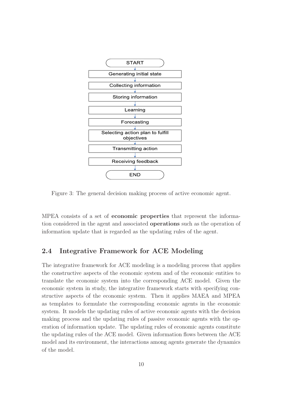

Figure 3: The general decision making process of active economic agent.

MPEA consists of a set of economic properties that represent the information considered in the agent and associated operations such as the operation of information update that is regarded as the updating rules of the agent.

#### 2.4 Integrative Framework for ACE Modeling

The integrative framework for ACE modeling is a modeling process that applies the constructive aspects of the economic system and of the economic entities to translate the economic system into the corresponding ACE model. Given the economic system in study, the integrative framework starts with specifying constructive aspects of the economic system. Then it applies MAEA and MPEA as templates to formulate the corresponding economic agents in the economic system. It models the updating rules of active economic agents with the decision making process and the updating rules of passive economic agents with the operation of information update. The updating rules of economic agents constitute the updating rules of the ACE model. Given information flows between the ACE model and its environment, the interactions among agents generate the dynamics of the model.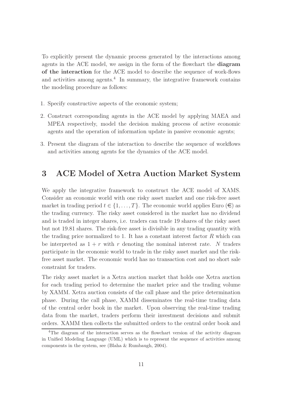To explicitly present the dynamic process generated by the interactions among agents in the ACE model, we assign in the form of the flowchart the diagram of the interaction for the ACE model to describe the sequence of work-flows and activities among agents.<sup>4</sup> In summary, the integrative framework contains the modeling procedure as follows:

- 1. Specify constructive aspects of the economic system;
- 2. Construct corresponding agents in the ACE model by applying MAEA and MPEA respectively, model the decision making process of active economic agents and the operation of information update in passive economic agents;
- 3. Present the diagram of the interaction to describe the sequence of workflows and activities among agents for the dynamics of the ACE model.

# 3 ACE Model of Xetra Auction Market System

We apply the integrative framework to construct the ACE model of XAMS. Consider an economic world with one risky asset market and one risk-free asset market in trading period  $t \in \{1, \ldots, T\}$ . The economic world applies Euro  $(\epsilon)$  as the trading currency. The risky asset considered in the market has no dividend and is traded in integer shares, i.e. traders can trade 19 shares of the risky asset but not 19.81 shares. The risk-free asset is divisible in any trading quantity with the trading price normalized to 1. It has a constant interest factor  $R$  which can be interpreted as  $1 + r$  with r denoting the nominal interest rate. N traders participate in the economic world to trade in the risky asset market and the riskfree asset market. The economic world has no transaction cost and no short sale constraint for traders.

The risky asset market is a Xetra auction market that holds one Xetra auction for each trading period to determine the market price and the trading volume by XAMM. Xetra auction consists of the call phase and the price determination phase. During the call phase, XAMM disseminates the real-time trading data of the central order book in the market. Upon observing the real-time trading data from the market, traders perform their investment decisions and submit orders. XAMM then collects the submitted orders to the central order book and

<sup>4</sup>The diagram of the interaction serves as the flowchart version of the activity diagram in Unified Modeling Language (UML) which is to represent the sequence of activities among components in the system, see (Blaha & Rumbaugh, 2004).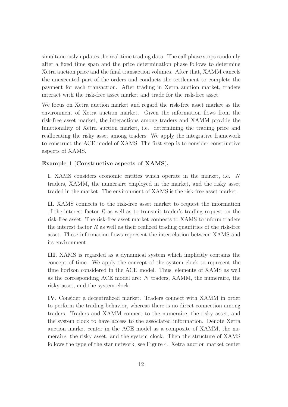simultaneously updates the real-time trading data. The call phase stops randomly after a fixed time span and the price determination phase follows to determine Xetra auction price and the final transaction volumes. After that, XAMM cancels the unexecuted part of the orders and conducts the settlement to complete the payment for each transaction. After trading in Xetra auction market, traders interact with the risk-free asset market and trade for the risk-free asset.

We focus on Xetra auction market and regard the risk-free asset market as the environment of Xetra auction market. Given the information flows from the risk-free asset market, the interactions among traders and XAMM provide the functionality of Xetra auction market, i.e. determining the trading price and reallocating the risky asset among traders. We apply the integrative framework to construct the ACE model of XAMS. The first step is to consider constructive aspects of XAMS.

#### Example 1 (Constructive aspects of XAMS).

I. XAMS considers economic entities which operate in the market, i.e. N traders, XAMM, the numeraire employed in the market, and the risky asset traded in the market. The environment of XAMS is the risk-free asset market.

II. XAMS connects to the risk-free asset market to request the information of the interest factor  $R$  as well as to transmit trader's trading request on the risk-free asset. The risk-free asset market connects to XAMS to inform traders the interest factor  $R$  as well as their realized trading quantities of the risk-free asset. These information flows represent the interrelation between XAMS and its environment.

III. XAMS is regarded as a dynamical system which implicitly contains the concept of time. We apply the concept of the system clock to represent the time horizon considered in the ACE model. Thus, elements of XAMS as well as the corresponding ACE model are: N traders, XAMM, the numeraire, the risky asset, and the system clock.

IV. Consider a decentralized market. Traders connect with XAMM in order to perform the trading behavior, whereas there is no direct connection among traders. Traders and XAMM connect to the numeraire, the risky asset, and the system clock to have access to the associated information. Denote Xetra auction market center in the ACE model as a composite of XAMM, the numeraire, the risky asset, and the system clock. Then the structure of XAMS follows the type of the star network, see Figure 4. Xetra auction market center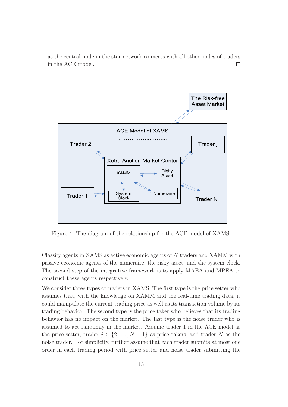as the central node in the star network connects with all other nodes of traders in the ACE model.  $\Box$ 



Figure 4: The diagram of the relationship for the ACE model of XAMS.

Classify agents in XAMS as active economic agents of N traders and XAMM with passive economic agents of the numeraire, the risky asset, and the system clock. The second step of the integrative framework is to apply MAEA and MPEA to construct these agents respectively.

We consider three types of traders in XAMS. The first type is the price setter who assumes that, with the knowledge on XAMM and the real-time trading data, it could manipulate the current trading price as well as its transaction volume by its trading behavior. The second type is the price taker who believes that its trading behavior has no impact on the market. The last type is the noise trader who is assumed to act randomly in the market. Assume trader 1 in the ACE model as the price setter, trader  $j \in \{2, ..., N-1\}$  as price takers, and trader N as the noise trader. For simplicity, further assume that each trader submits at most one order in each trading period with price setter and noise trader submitting the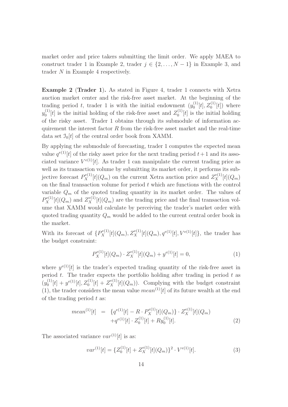market order and price takers submitting the limit order. We apply MAEA to construct trader 1 in Example 2, trader  $j \in \{2, ..., N-1\}$  in Example 3, and trader N in Example 4 respectively.

Example 2 (Trader 1). As stated in Figure 4, trader 1 connects with Xetra auction market center and the risk-free asset market. At the beginning of the trading period t, trader 1 is with the initial endowment  $(y_0^{(1)}$  $b_0^{(1)}[t], Z_0^{(1)}[t]$  where  $y_0^{(1)}$  $\binom{1}{0}[t]$  is the initial holding of the risk-free asset and  $Z_0^{(1)}$  $\binom{1}{0}[t]$  is the initial holding of the risky asset. Trader 1 obtains through its submodule of information acquirement the interest factor  $R$  from the risk-free asset market and the real-time data set  $\mathcal{I}_0[t]$  of the central order book from XAMM.

By applying the submodule of forecasting, trader 1 computes the expected mean value  $q^{e(1)}[t]$  of the risky asset price for the next trading period  $t+1$  and its associated variance  $V^{e(1)}[t]$ . As trader 1 can manipulate the current trading price as well as its transaction volume by submitting its market order, it performs its subjective forecast  $P_X^{e(1)}[t](Q_m)$  on the current Xetra auction price and  $Z_X^{e(1)}[t](Q_m)$ on the final transaction volume for period  $t$  which are functions with the control variable  $Q_m$  of the quoted trading quantity in its market order. The values of  $P_X^{e(1)}[t](Q_m)$  and  $Z_X^{e(1)}[t](Q_m)$  are the trading price and the final transaction volume that XAMM would calculate by perceiving the trader's market order with quoted trading quantity  $Q_m$  would be added to the current central order book in the market.

With its forecast of  $\{P_X^{e(1)}[t](Q_m), Z_X^{e(1)}[t](Q_m), q^{e(1)}[t], V^{e(1)}[t]\},$  the trader has the budget constraint:

$$
P_X^{e(1)}[t](Q_m) \cdot Z_X^{e(1)}[t](Q_m) + y^{e(1)}[t] = 0,\t\t(1)
$$

where  $y^{e(1)}[t]$  is the trader's expected trading quantity of the risk-free asset in period  $t$ . The trader expects the portfolio holding after trading in period  $t$  as  $(y_0^{(1)}$  $0_0^{(1)}[t] + y^{e(1)}[t], Z_0^{(1)}[t] + Z_X^{e(1)}[t](Q_m)$ . Complying with the budget constraint (1), the trader considers the mean value  $mean^{(1)}[t]$  of its future wealth at the end of the trading period  $t$  as:

$$
mean^{(1)}[t] = \{q^{e(1)}[t] - R \cdot P_X^{e(1)}[t](Q_m)\} \cdot Z_X^{e(1)}[t](Q_m) + q^{e(1)}[t] \cdot Z_0^{(1)}[t] + Ry_0^{(1)}[t].
$$
\n(2)

The associated variance  $var^{(1)}[t]$  is as:

$$
var^{(1)}[t] = \{Z_0^{(1)}[t] + Z_X^{e(1)}[t](Q_m)\}^2 \cdot V^{e(1)}[t].\tag{3}
$$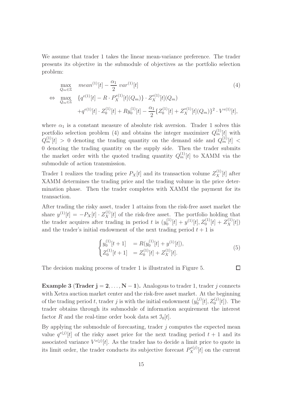We assume that trader 1 takes the linear mean-variance preference. The trader presents its objective in the submodule of objectives as the portfolio selection problem:

$$
\max_{Q_m \in \mathbb{Z}} \quad \text{mean}^{(1)}[t] - \frac{\alpha_1}{2} \operatorname{var}^{(1)}[t] \tag{4}
$$
\n
$$
\Leftrightarrow \quad \max_{Q_m \in \mathbb{Z}} \quad \{q^{e(1)}[t] - R \cdot P_X^{e(1)}[t](Q_m)\} \cdot Z_X^{e(1)}[t](Q_m)
$$
\n
$$
+ q^{e(1)}[t] \cdot Z_0^{(1)}[t] + Ry_0^{(1)}[t] - \frac{\alpha_1}{2} \{Z_0^{(1)}[t] + Z_X^{e(1)}[t](Q_m)\}^2 \cdot V^{e(1)}[t],
$$
\n
$$
(4)
$$

where  $\alpha_1$  is a constant measure of absolute risk aversion. Trader 1 solves this portfolio selection problem (4) and obtains the integer maximizer  $Q_m^{(1)}[t]$  with  $Q_m^{(1)}[t] > 0$  denoting the trading quantity on the demand side and  $Q_m^{(1)}[t] < 0$ 0 denoting the trading quantity on the supply side. Then the trader submits the market order with the quoted trading quantity  $Q_m^{(1)}[t]$  to XAMM via the submodule of action transmission.

Trader 1 realizes the trading price  $P_X[t]$  and its transaction volume  $Z_X^{(1)}[t]$  after XAMM determines the trading price and the trading volume in the price determination phase. Then the trader completes with XAMM the payment for its transaction.

After trading the risky asset, trader 1 attains from the risk-free asset market the share  $y^{(1)}[t] = -P_X[t] \cdot Z_X^{(1)}[t]$  of the risk-free asset. The portfolio holding that the trader acquires after trading in period t is  $(y_0^{(1)}$  $\binom{1}{0}[t] + y^{(1)}[t], Z_0^{(1)}[t] + Z_X^{(1)}[t]$ and the trader's initial endowment of the next trading period  $t + 1$  is

$$
\begin{cases}\ny_0^{(1)}[t+1] &= R(y_0^{(1)}[t] + y^{(1)}[t]), \\
Z_0^{(1)}[t+1] &= Z_0^{(1)}[t] + Z_X^{(1)}[t].\n\end{cases} \tag{5}
$$

The decision making process of trader 1 is illustrated in Figure 5.

Example 3 (Trader  $j = 2, ..., N - 1$ ). Analogous to trader 1, trader j connects with Xetra auction market center and the risk-free asset market. At the beginning of the trading period t, trader j is with the initial endowment  $(y_0^{(j)})$  $_{0}^{(j)}[t], Z_{0}^{(j)}[t]$ ). The trader obtains through its submodule of information acquirement the interest factor R and the real-time order book data set  $\mathfrak{I}_0[t]$ .

By applying the submodule of forecasting, trader  $j$  computes the expected mean value  $q^{e(j)}[t]$  of the risky asset price for the next trading period  $t+1$  and its associated variance  $V^{e(j)}[t]$ . As the trader has to decide a limit price to quote in its limit order, the trader conducts its subjective forecast  $P_X^{e(j)}[t]$  on the current

 $\Box$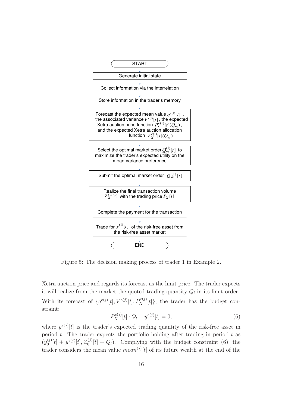

Figure 5: The decision making process of trader 1 in Example 2.

Xetra auction price and regards its forecast as the limit price. The trader expects it will realize from the market the quoted trading quantity  $Q_l$  in its limit order. With its forecast of  $\{q^{e(j)}[t], V^{e(j)}[t], P_X^{e(j)}[t]\}$ , the trader has the budget constraint:

$$
P_X^{e(j)}[t] \cdot Q_l + y^{e(j)}[t] = 0,\t\t(6)
$$

where  $y^{e(j)}[t]$  is the trader's expected trading quantity of the risk-free asset in period  $t$ . The trader expects the portfolio holding after trading in period  $t$  as  $(y_0^{(j)}$  $\binom{0}{0}[t] + y^{e(j)}[t], Z_0^{(j)}[t] + Q_l$ . Complying with the budget constraint (6), the trader considers the mean value  $mean^{(j)}[t]$  of its future wealth at the end of the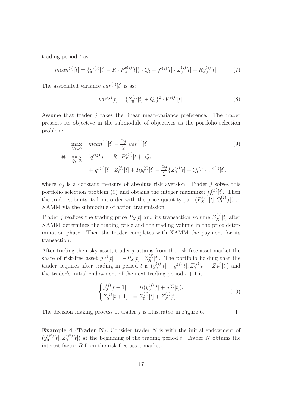trading period t as:

$$
mean^{(j)}[t] = \{q^{e(j)}[t] - R \cdot P_X^{e(j)}[t] \} \cdot Q_l + q^{e(j)}[t] \cdot Z_0^{(j)}[t] + Ry_0^{(j)}[t]. \tag{7}
$$

The associated variance  $var^{(j)}[t]$  is as:

$$
var^{(j)}[t] = \{Z_0^{(j)}[t] + Q_l\}^2 \cdot V^{e(j)}[t].\tag{8}
$$

Assume that trader  $j$  takes the linear mean-variance preference. The trader presents its objective in the submodule of objectives as the portfolio selection problem:

$$
\max_{Q_l \in \mathbb{Z}} \quad mean^{(j)}[t] - \frac{\alpha_j}{2} \, var^{(j)}[t] \tag{9}
$$
\n
$$
\Leftrightarrow \max_{Q_l \in \mathbb{Z}} \quad \{q^{e(j)}[t] - R \cdot P_X^{e(j)}[t] \} \cdot Q_l
$$
\n
$$
+ q^{e(j)}[t] \cdot Z_0^{(j)}[t] + Ry_0^{(j)}[t] - \frac{\alpha_j}{2} \{Z_0^{(j)}[t] + Q_l\}^2 \cdot V^{e(j)}[t],
$$

where  $\alpha_j$  is a constant measure of absolute risk aversion. Trader j solves this portfolio selection problem (9) and obtains the integer maximizer  $Q_l^{(j)}$  $\binom{J}{l}[t]$ . Then the trader submits its limit order with the price-quantity pair  $(P_X^{e(j)}[t], Q_l^{(j)}[t])$  to XAMM via the submodule of action transmission.

Trader j realizes the trading price  $P_X[t]$  and its transaction volume  $Z_X^{(j)}[t]$  after XAMM determines the trading price and the trading volume in the price determination phase. Then the trader completes with XAMM the payment for its transaction.

After trading the risky asset, trader j attains from the risk-free asset market the share of risk-free asset  $y^{(j)}[t] = -P_X[t] \cdot Z_X^{(j)}[t]$ . The portfolio holding that the trader acquires after trading in period t is  $(y_0^{(j)})$  $\binom{J}{0}[t] + y^{(j)}[t], Z_0^{(j)}[t] + Z_X^{(j)}[t]$  and the trader's initial endowment of the next trading period  $t + 1$  is

$$
\begin{cases}\ny_0^{(j)}[t+1] &= R(y_0^{(j)}[t] + y^{(j)}[t]), \\
Z_0^{(j)}[t+1] &= Z_0^{(j)}[t] + Z_X^{(j)}[t].\n\end{cases}
$$
\n(10)

The decision making process of trader  $j$  is illustrated in Figure 6.

**Example 4** (Trader N). Consider trader  $N$  is with the initial endowment of  $(y_0^{(N)}$  $\binom{N}{0}[t], Z_0^{(N)}[t]$  at the beginning of the trading period t. Trader N obtains the interest factor R from the risk-free asset market.

 $\Box$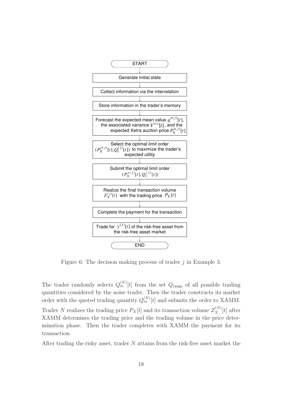

Figure 6: The decision making process of trader  $j$  in Example 3.

The trader randomly selects  $Q_m^{(N)}[t]$  from the set  $Q_{\text{range}}$  of all possible trading quantities considered by the noise trader. Then the trader constructs its market order with the quoted trading quantity  $Q_m^{(N)}[t]$  and submits the order to XAMM. Trader N realizes the trading price  $P_X[t]$  and its transaction volume  $Z_X^{(N)}[t]$  after XAMM determines the trading price and the trading volume in the price determination phase. Then the trader completes with XAMM the payment for its transaction.

After trading the risky asset, trader N attains from the risk-free asset market the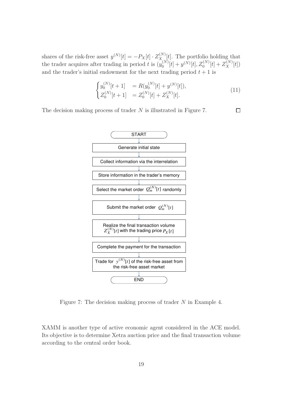shares of the risk-free asset  $y^{(N)}[t] = -P_X[t] \cdot Z_{X}^{(N)}[t]$ . The portfolio holding that the trader acquires after trading in period t is  $(y_0^{(N)})$  $\binom{N}{0}[t] + y^{(N)}[t], Z_0^{(N)}[t] + Z_X^{(N)}[t])$ and the trader's initial endowment for the next trading period  $t + 1$  is

$$
\begin{cases}\ny_0^{(N)}[t+1] &= R(y_0^{(N)}[t] + y^{(N)}[t]), \\
Z_0^{(N)}[t+1] &= Z_0^{(N)}[t] + Z_X^{(N)}[t].\n\end{cases} \tag{11}
$$

The decision making process of trader  $N$  is illustrated in Figure 7.

 $\Box$ 



Figure 7: The decision making process of trader N in Example 4.

XAMM is another type of active economic agent considered in the ACE model. Its objective is to determine Xetra auction price and the final transaction volume according to the central order book.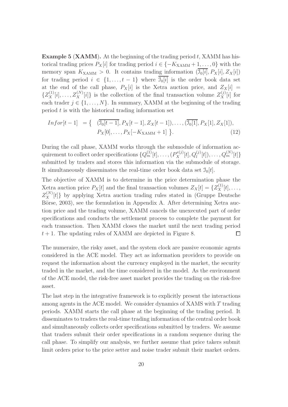**Example 5 (XAMM).** At the beginning of the trading period  $t$ , XAMM has historical trading prices  $P_X[i]$  for trading period  $i \in \{-K_{\text{XAMM}}+1,\ldots,0\}$  with the memory span  $K_{\text{XAMM}} > 0$ . It contains trading information  $(\mathcal{I}_0[i], P_X[i], Z_X[i])$ for trading period  $i \in \{1, \ldots, t-1\}$  where  $\overline{\mathcal{I}_0[i]}$  is the order book data set at the end of the call phase,  $P_X[i]$  is the Xetra auction price, and  $Z_X[i] =$  $\{Z_X^{(1)}[i],\ldots,Z_X^{(N)}[i]\}$  is the collection of the final transaction volume  $Z_X^{(j)}[i]$  for each trader  $j \in \{1, \ldots, N\}$ . In summary, XAMM at the beginning of the trading period  $t$  is with the historical trading information set

$$
Infor[t-1] = \left\{ \begin{array}{l} (\overline{\mathcal{I}_0[t-1]}, P_X[t-1], Z_X[t-1]), \dots, (\overline{\mathcal{I}_0[1]}, P_X[1], Z_X[1]), \\ P_X[0], \dots, P_X[-K_{\text{XAMM}} + 1] \end{array} \right\}. \tag{12}
$$

During the call phase, XAMM works through the submodule of information acquirement to collect order specifications  $\{Q_m^{(1)}[t], \ldots, (P_X^{e(j)}[t], Q_l^{(j)}[t]), \ldots, Q_m^{(N)}[t]\}$ submitted by traders and stores this information via the submodule of storage. It simultaneously disseminates the real-time order book data set  $\mathcal{I}_0[t]$ .

The objective of XAMM is to determine in the price determination phase the Xetra auction price  $P_X[t]$  and the final transaction volumes  $Z_X[t] = \{Z_X^{(1)}[t], \ldots, Z_K[t]\}$  $Z_X^{(N)}[t]$ } by applying Xetra auction trading rules stated in (Gruppe Deutsche Börse, 2003), see the formulation in Appendix A. After determining Xetra auction price and the trading volume, XAMM cancels the unexecuted part of order specifications and conducts the settlement process to complete the payment for each transaction. Then XAMM closes the market until the next trading period  $t + 1$ . The updating rules of XAMM are depicted in Figure 8.  $\Box$ 

The numeraire, the risky asset, and the system clock are passive economic agents considered in the ACE model. They act as information providers to provide on request the information about the currency employed in the market, the security traded in the market, and the time considered in the model. As the environment of the ACE model, the risk-free asset market provides the trading on the risk-free asset.

The last step in the integrative framework is to explicitly present the interactions among agents in the ACE model. We consider dynamics of XAMS with T trading periods. XAMM starts the call phase at the beginning of the trading period. It disseminates to traders the real-time trading information of the central order book and simultaneously collects order specifications submitted by traders. We assume that traders submit their order specifications in a random sequence during the call phase. To simplify our analysis, we further assume that price takers submit limit orders prior to the price setter and noise trader submit their market orders.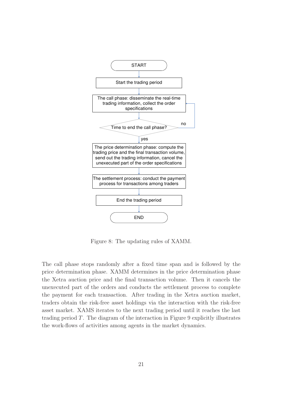

Figure 8: The updating rules of XAMM.

The call phase stops randomly after a fixed time span and is followed by the price determination phase. XAMM determines in the price determination phase the Xetra auction price and the final transaction volume. Then it cancels the unexecuted part of the orders and conducts the settlement process to complete the payment for each transaction. After trading in the Xetra auction market, traders obtain the risk-free asset holdings via the interaction with the risk-free asset market. XAMS iterates to the next trading period until it reaches the last trading period  $T$ . The diagram of the interaction in Figure 9 explicitly illustrates the work-flows of activities among agents in the market dynamics.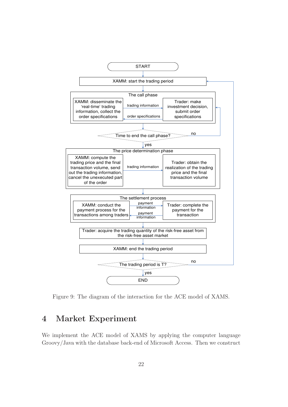

Figure 9: The diagram of the interaction for the ACE model of XAMS.

# 4 Market Experiment

We implement the ACE model of XAMS by applying the computer language Groovy/Java with the database back-end of Microsoft Access. Then we construct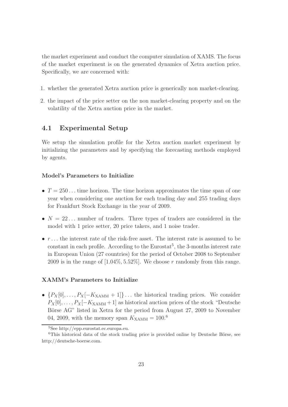the market experiment and conduct the computer simulation of XAMS. The focus of the market experiment is on the generated dynamics of Xetra auction price. Specifically, we are concerned with:

- 1. whether the generated Xetra auction price is generically non market-clearing.
- 2. the impact of the price setter on the non market-clearing property and on the volatility of the Xetra auction price in the market.

#### 4.1 Experimental Setup

We setup the simulation profile for the Xetra auction market experiment by initializing the parameters and by specifying the forecasting methods employed by agents.

#### Model's Parameters to Initialize

- $T = 250...$  time horizon. The time horizon approximates the time span of one year when considering one auction for each trading day and 255 trading days for Frankfurt Stock Exchange in the year of 2009.
- $N = 22...$  number of traders. Three types of traders are considered in the model with 1 price setter, 20 price takers, and 1 noise trader.
- $r \dots$  the interest rate of the risk-free asset. The interest rate is assumed to be  $\alpha$  constant in each profile. According to the Eurostat<sup>5</sup>, the 3-months interest rate in European Union (27 countries) for the period of October 2008 to September 2009 is in the range of  $[1.04\%, 5.52\%]$ . We choose r randomly from this range.

#### XAMM's Parameters to Initialize

•  $\{P_X[0], \ldots, P_X[-K_{XAMM} + 1]\}$ ... the historical trading prices. We consider  $P_X[0], \ldots, P_X[-K_{XAMM}+1]$  as historical auction prices of the stock "Deutsche Börse AG" listed in Xetra for the period from August 27, 2009 to November 04, 2009, with the memory span  $K_{\text{XAMM}} = 100^{6}$ 

<sup>5</sup>See http://epp.eurostat.ec.europa.eu.

 $6$ This historical data of the stock trading price is provided online by Deutsche Börse, see http://deutsche-boerse.com.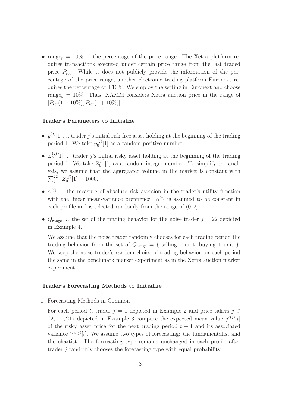• range<sub>p</sub> =  $10\%$ ... the percentage of the price range. The Xetra platform requires transactions executed under certain price range from the last traded price  $P_{\text{ref}}$ . While it does not publicly provide the information of the percentage of the price range, another electronic trading platform Euronext requires the percentage of  $\pm 10\%$ . We employ the setting in Euronext and choose range<sub>p</sub> =  $10\%$ . Thus, XAMM considers Xetra auction price in the range of  $[P_{\text{ref}}(1 - 10\%), P_{\text{ref}}(1 + 10\%).$ 

#### Trader's Parameters to Initialize

- $\bullet\ y^{(j)}_0$  $\binom{0}{0}[1]$ ... trader j's initial risk-free asset holding at the beginning of the trading period 1. We take  $y_0^{(j)}$  $\binom{[j]}{0}[1]$  as a random positive number.
- $\bullet$   $Z_0^{(j)}$  $\binom{[0]}{0}[1]$ ... trader j's initial risky asset holding at the beginning of the trading period 1. We take  $Z_0^{(j)}$  $_{0}^{(0)}[1]$  as a random integer number. To simplify the analysis, we assume that the aggregated volume in the market is constant with  $\sum_{j=1}^{22} Z_0^{(j)}$  $\binom{1}{0}$ [1] = 1000.
- $\alpha^{(j)}$ ... the measure of absolute risk aversion in the trader's utility function with the linear mean-variance preference.  $\alpha^{(j)}$  is assumed to be constant in each profile and is selected randomly from the range of (0, 2].
- $Q_{\text{range}} \dots$  the set of the trading behavior for the noise trader  $j = 22$  depicted in Example 4.

We assume that the noise trader randomly chooses for each trading period the trading behavior from the set of  $Q_{\text{range}} = \{$  selling 1 unit, buying 1 unit  $\}$ . We keep the noise trader's random choice of trading behavior for each period the same in the benchmark market experiment as in the Xetra auction market experiment.

#### Trader's Forecasting Methods to Initialize

1. Forecasting Methods in Common

For each period t, trader  $j = 1$  depicted in Example 2 and price takers  $j \in \mathbb{Z}$  $\{2,\ldots,21\}$  depicted in Example 3 compute the expected mean value  $q^{e(j)}[t]$ of the risky asset price for the next trading period  $t + 1$  and its associated variance  $V^{e(j)}[t]$ . We assume two types of forecasting: the fundamentalist and the chartist. The forecasting type remains unchanged in each profile after trader j randomly chooses the forecasting type with equal probability.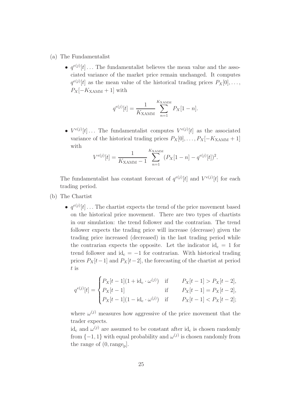- (a) The Fundamentalist
	- $q^{e(j)}[t] \dots$  The fundamentalist believes the mean value and the associated variance of the market price remain unchanged. It computes  $q^{e(j)}[t]$  as the mean value of the historical trading prices  $P_X[0], \ldots$ ,  $P_X[-K_{\text{XAMM}}+1]$  with

$$
q^{e(j)}[t] = \frac{1}{K_{\text{XAMM}}} \sum_{n=1}^{K_{\text{XAMM}}} P_X[1 - n].
$$

•  $V^{e(j)}[t] \ldots$  The fundamentalist computes  $V^{e(j)}[t]$  as the associated variance of the historical trading prices  $P_X[0], \ldots, P_X[-K_{XAMM} + 1]$ with

$$
V^{e(j)}[t] = \frac{1}{K_{\text{XAMM}} - 1} \sum_{n=1}^{K_{\text{XAMM}}} (P_X[1 - n] - q^{e(j)}[t])^2.
$$

The fundamentalist has constant forecast of  $q^{e(j)}[t]$  and  $V^{e(j)}[t]$  for each trading period.

- (b) The Chartist
	- $q^{e(j)}[t]$ ... The chartist expects the trend of the price movement based on the historical price movement. There are two types of chartists in our simulation: the trend follower and the contrarian. The trend follower expects the trading price will increase (decrease) given the trading price increased (decreased) in the last trading period while the contrarian expects the opposite. Let the indicator  $id_c = 1$  for trend follower and  $id_c = -1$  for contrarian. With historical trading prices  $P_X[t-1]$  and  $P_X[t-2]$ , the forecasting of the chartist at period t is

$$
q^{e(j)}[t] = \begin{cases} P_X[t-1](1 + id_c \cdot \omega^{(j)}) & \text{if} & P_X[t-1] > P_X[t-2], \\ P_X[t-1] & \text{if} & P_X[t-1] = P_X[t-2], \\ P_X[t-1](1 - id_c \cdot \omega^{(j)}) & \text{if} & P_X[t-1] < P_X[t-2]; \end{cases}
$$

where  $\omega^{(j)}$  measures how aggressive of the price movement that the trader expects.

id<sub>c</sub> and  $\omega^{(j)}$  are assumed to be constant after id<sub>c</sub> is chosen randomly from  $\{-1, 1\}$  with equal probability and  $\omega^{(j)}$  is chosen randomly from the range of  $(0, \text{range}_p)$ .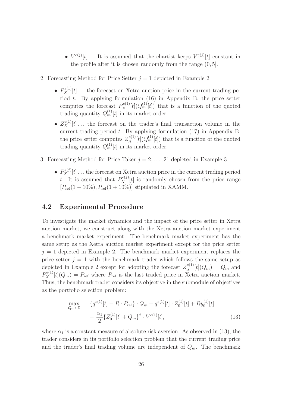- $V^{e(j)}[t] \dots$  It is assumed that the chartist keeps  $V^{e(j)}[t]$  constant in the profile after it is chosen randomly from the range (0, 5].
- 2. Forecasting Method for Price Setter  $j = 1$  depicted in Example 2
	- $P_X^{e(1)}[t] \dots$  the forecast on Xetra auction price in the current trading period  $t$ . By applying formulation (16) in Appendix B, the price setter computes the forecast  $P_X^{e(1)}[t](Q_m^{(1)}[t])$  that is a function of the quoted trading quantity  $Q_m^{(1)}[t]$  in its market order.
	- $Z_X^{e(1)}[t] \dots$  the forecast on the trader's final transaction volume in the current trading period  $t$ . By applying formulation (17) in Appendix B, the price setter computes  $Z_X^{e(1)}[t](Q_m^{(1)}[t])$  that is a function of the quoted trading quantity  $Q_m^{(1)}[t]$  in its market order.
- 3. Forecasting Method for Price Taker  $j = 2, \ldots, 21$  depicted in Example 3
	- $P_X^{e(j)}[t]$ ... the forecast on Xetra auction price in the current trading period t. It is assumed that  $P_X^{e(j)}[t]$  is randomly chosen from the price range  $[P_{ref}(1 - 10\%), P_{ref}(1 + 10\%)]$  stipulated in XAMM.

#### 4.2 Experimental Procedure

To investigate the market dynamics and the impact of the price setter in Xetra auction market, we construct along with the Xetra auction market experiment a benchmark market experiment. The benchmark market experiment has the same setup as the Xetra auction market experiment except for the price setter  $j = 1$  depicted in Example 2. The benchmark market experiment replaces the price setter  $j = 1$  with the benchmark trader which follows the same setup as depicted in Example 2 except for adopting the forecast  $Z_X^{e(1)}[t](Q_m) = Q_m$  and  $P_X^{e(1)}[t](Q_m) = P_{\text{ref}}$  where  $P_{\text{ref}}$  is the last traded price in Xetra auction market. Thus, the benchmark trader considers its objective in the submodule of objectives as the portfolio selection problem:

$$
\max_{Q_m \in \mathbb{Z}} \quad \{q^{e(1)}[t] - R \cdot P_{\text{ref}} \} \cdot Q_m + q^{e(1)}[t] \cdot Z_0^{(1)}[t] + Ry_0^{(1)}[t] - \frac{\alpha_1}{2} \{Z_0^{(1)}[t] + Q_m\}^2 \cdot V^{e(1)}[t],
$$
\n(13)

where  $\alpha_1$  is a constant measure of absolute risk aversion. As observed in (13), the trader considers in its portfolio selection problem that the current trading price and the trader's final trading volume are independent of  $Q_m$ . The benchmark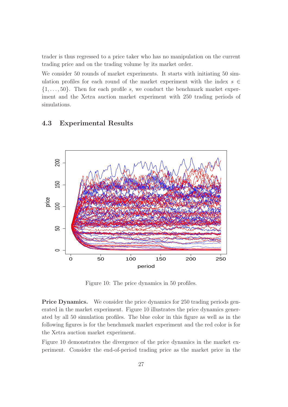trader is thus regressed to a price taker who has no manipulation on the current trading price and on the trading volume by its market order.

We consider 50 rounds of market experiments. It starts with initiating 50 simulation profiles for each round of the market experiment with the index  $s \in$  $\{1, \ldots, 50\}$ . Then for each profile s, we conduct the benchmark market experiment and the Xetra auction market experiment with 250 trading periods of simulations.

# 200 0 50 100 150 200 50 price<br>100 <u>င</u>္တ  $\circ$ 0 50 100 150 200 250 period

#### 4.3 Experimental Results

Figure 10: The price dynamics in 50 profiles.

**Price Dynamics.** We consider the price dynamics for 250 trading periods generated in the market experiment. Figure 10 illustrates the price dynamics generated by all 50 simulation profiles. The blue color in this figure as well as in the following figures is for the benchmark market experiment and the red color is for the Xetra auction market experiment.

Figure 10 demonstrates the divergence of the price dynamics in the market experiment. Consider the end-of-period trading price as the market price in the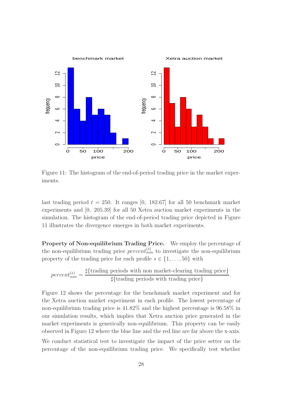

Figure 11: The histogram of the end-of-period trading price in the market experiments.

last trading period  $t = 250$ . It ranges [0, 182.67] for all 50 benchmark market experiments and [0, 205.39] for all 50 Xetra auction market experiments in the simulation. The histogram of the end-of-period trading price depicted in Figure 11 illustrates the divergence emerges in both market experiments.

Property of Non-equilibrium Trading Price. We employ the percentage of the non-equilibrium trading price  $percent_{non}^{(s)}$  to investigate the non-equilibrium property of the trading price for each profile  $s \in \{1, \ldots, 50\}$  with

$$
percent_{non}^{(s)} = \frac{\frac{\text{#{trading periods with non market-clearing trading price}}{\text{#{trading periods with trading price}}}}{\text{#{trading periods with trading price}}}
$$

Figure 12 shows the percentage for the benchmark market experiment and for the Xetra auction market experiment in each profile. The lowest percentage of non-equilibrium trading price is 41.82% and the highest percentage is 96.58% in our simulation results, which implies that Xetra auction price generated in the market experiments is generically non-equilibrium. This property can be easily observed in Figure 12 where the blue line and the red line are far above the x-axis.

We conduct statistical test to investigate the impact of the price setter on the percentage of the non-equilibrium trading price. We specifically test whether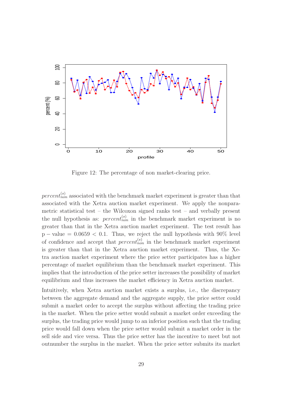

Figure 12: The percentage of non market-clearing price.

 $percent<sub>non</sub><sup>(s)</sup>$  associated with the benchmark market experiment is greater than that associated with the Xetra auction market experiment. We apply the nonparametric statistical test – the Wilcoxon signed ranks test – and verbally present the null hypothesis as:  $percent_{non}^{(s)}$  in the benchmark market experiment is no greater than that in the Xetra auction market experiment. The test result has  $p - value = 0.0659 < 0.1$ . Thus, we reject the null hypothesis with 90% level of confidence and accept that  $percent_{non}^{(s)}$  in the benchmark market experiment is greater than that in the Xetra auction market experiment. Thus, the Xetra auction market experiment where the price setter participates has a higher percentage of market equilibrium than the benchmark market experiment. This implies that the introduction of the price setter increases the possibility of market equilibrium and thus increases the market efficiency in Xetra auction market.

Intuitively, when Xetra auction market exists a surplus, i.e., the discrepancy between the aggregate demand and the aggregate supply, the price setter could submit a market order to accept the surplus without affecting the trading price in the market. When the price setter would submit a market order exceeding the surplus, the trading price would jump to an inferior position such that the trading price would fall down when the price setter would submit a market order in the sell side and vice versa. Thus the price setter has the incentive to meet but not outnumber the surplus in the market. When the price setter submits its market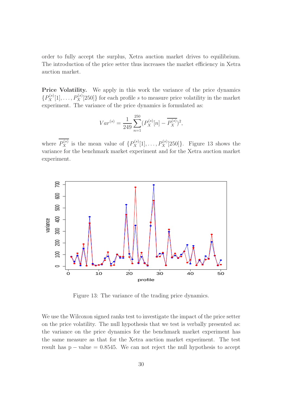order to fully accept the surplus, Xetra auction market drives to equilibrium. The introduction of the price setter thus increases the market efficiency in Xetra auction market.

**Price Volatility.** We apply in this work the variance of the price dynamics  ${P_X^{(s)}[1], \ldots, P_X^{(s)}[250]}$  for each profile s to measure price volatility in the market experiment. The variance of the price dynamics is formulated as:

$$
Var^{(s)} = \frac{1}{249} \sum_{n=1}^{250} (P_X^{(s)}[n] - \overline{P_X^{(s)}})^2,
$$

where  $P_X^{(s)}$  is the mean value of  $\{P_X^{(s)}[1], \ldots, P_X^{(s)}[250]\}$ . Figure 13 shows the variance for the benchmark market experiment and for the Xetra auction market experiment.



Figure 13: The variance of the trading price dynamics.

We use the Wilcoxon signed ranks test to investigate the impact of the price setter on the price volatility. The null hypothesis that we test is verbally presented as: the variance on the price dynamics for the benchmark market experiment has the same measure as that for the Xetra auction market experiment. The test result has  $p - value = 0.8545$ . We can not reject the null hypothesis to accept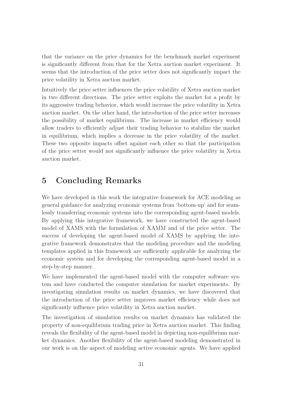that the variance on the price dynamics for the benchmark market experiment is significantly different from that for the Xetra auction market experiment. It seems that the introduction of the price setter does not significantly impact the price volatility in Xetra auction market.

Intuitively the price setter influences the price volatility of Xetra auction market in two different directions. The price setter exploits the market for a profit by its aggressive trading behavior, which would increase the price volatility in Xetra auction market. On the other hand, the introduction of the price setter increases the possibility of market equilibrium. The increase in market efficiency would allow traders to efficiently adjust their trading behavior to stabilize the market in equilibrium, which implies a decrease in the price volatility of the market. These two opposite impacts offset against each other so that the participation of the price setter would not significantly influence the price volatility in Xetra auction market.

# 5 Concluding Remarks

We have developed in this work the integrative framework for ACE modeling as general guidance for analyzing economic systems from 'bottom-up' and for seamlessly transferring economic systems into the corresponding agent-based models. By applying this integrative framework, we have constructed the agent-based model of XAMS with the formulation of XAMM and of the price setter. The success of developing the agent-based model of XAMS by applying the integrative framework demonstrates that the modeling procedure and the modeling templates applied in this framework are sufficiently applicable for analyzing the economic system and for developing the corresponding agent-based model in a step-by-step manner.

We have implemented the agent-based model with the computer software system and have conducted the computer simulation for market experiments. By investigating simulation results on market dynamics, we have discovered that the introduction of the price setter improves market efficiency while does not significantly influence price volatility in Xetra auction market.

The investigation of simulation results on market dynamics has validated the property of non-equilibrium trading price in Xetra auction market. This finding reveals the flexibility of the agent-based model in depicting non-equilibrium market dynamics. Another flexibility of the agent-based modeling demonstrated in our work is on the aspect of modeling active economic agents. We have applied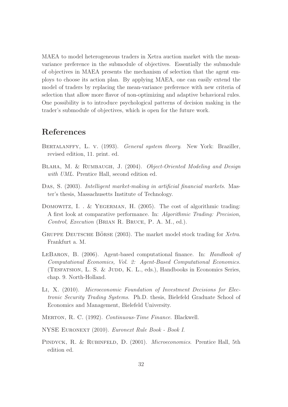MAEA to model heterogeneous traders in Xetra auction market with the meanvariance preference in the submodule of objectives. Essentially the submodule of objectives in MAEA presents the mechanism of selection that the agent employs to choose its action plan. By applying MAEA, one can easily extend the model of traders by replacing the mean-variance preference with new criteria of selection that allow more flavor of non-optimizing and adaptive behavioral rules. One possibility is to introduce psychological patterns of decision making in the trader's submodule of objectives, which is open for the future work.

# References

- Bertalanffy, L. v. (1993). *General system theory*. New York: Braziller, revised edition, 11. print. ed.
- Blaha, M. & Rumbaugh, J. (2004). *Object-Oriented Modeling and Design with UML*. Prentice Hall, second edition ed.
- Das, S. (2003). *Intelligent market-making in artificial financial markets*. Master's thesis, Massachusetts Institute of Technology.
- DOMOWITZ, I. . & YEGERMAN, H. (2005). The cost of algorithmic trading: A first look at comparative performance. In: *Algorithmic Trading: Precision, Control, Execution* (BRIAN R. BRUCE, P. A. M., ed.).
- GRUPPE DEUTSCHE BÖRSE (2003). The market model stock trading for *Xetra*. Frankfurt a. M.
- LeBaron, B. (2006). Agent-based computational finance. In: *Handbook of Computational Economics, Vol. 2: Agent-Based Computational Economics.* (TESFATSION, L. S. & JUDD, K. L., eds.), Handbooks in Economics Series, chap. 9. North-Holland.
- Li, X. (2010). *Microeconomic Foundation of Investment Decisions for Electronic Security Trading Systems*. Ph.D. thesis, Bielefeld Graduate School of Economics and Management, Bielefeld University.
- Merton, R. C. (1992). *Continuous-Time Finance*. Blackwell.
- NYSE Euronext (2010). *Euronext Rule Book Book I*.
- Pindyck, R. & Rubinfeld, D. (2001). *Microeconomics*. Prentice Hall, 5th edition ed.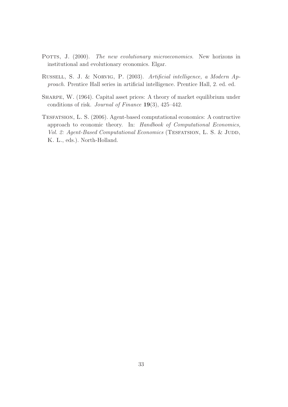- Potts, J. (2000). *The new evolutionary microeconomics*. New horizons in institutional and evolutionary economics. Elgar.
- Russell, S. J. & Norvig, P. (2003). *Artificial intelligence, a Modern Approach*. Prentice Hall series in artificial intelligence. Prentice Hall, 2. ed. ed.
- SHARPE, W. (1964). Capital asset prices: A theory of market equilibrium under conditions of risk. *Journal of Finance* 19(3), 425–442.
- Tesfatsion, L. S. (2006). Agent-based computational economics: A contructive approach to economic theory. In: *Handbook of Computational Economics, Vol. 2: Agent-Based Computational Economics* (TESFATSION, L. S. & JUDD, K. L., eds.). North-Holland.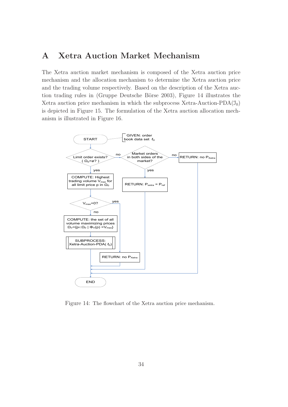# A Xetra Auction Market Mechanism

The Xetra auction market mechanism is composed of the Xetra auction price mechanism and the allocation mechanism to determine the Xetra auction price and the trading volume respectively. Based on the description of the Xetra auction trading rules in (Gruppe Deutsche Börse 2003), Figure 14 illustrates the Xetra auction price mechanism in which the subprocess Xetra-Auction-PDA $(\mathcal{I}_0)$ is depicted in Figure 15. The formulation of the Xetra auction allocation mechanism is illustrated in Figure 16.



Figure 14: The flowchart of the Xetra auction price mechanism.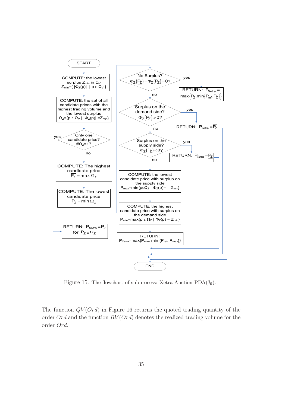

Figure 15: The flowchart of subprocess: Xetra-Auction-PDA $(\mathcal{I}_0)$ .

The function  $QV(Ord)$  in Figure 16 returns the quoted trading quantity of the order  $Ord$  and the function  $RV(Ord)$  denotes the realized trading volume for the order Ord.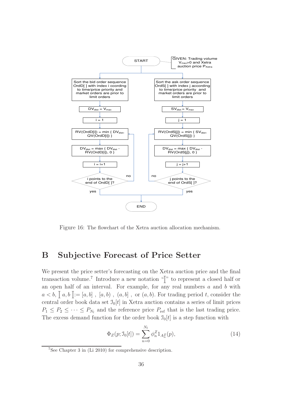

Figure 16: The flowchart of the Xetra auction allocation mechanism.

### B Subjective Forecast of Price Setter

We present the price setter's forecasting on the Xetra auction price and the final transaction volume.<sup>7</sup> Introduce a new notation " $\vert$ " to represent a closed half or an open half of an interval. For example, for any real numbers  $a$  and  $b$  with  $a < b, \mid a, b \mid := [a, b]$ ,  $[a, b)$ ,  $(a, b]$ , or  $(a, b)$ . For trading period t, consider the central order book data set  $\mathcal{I}_0[t]$  in Xetra auction contains a series of limit prices  $P_1 \leq P_2 \leq \cdots \leq P_{N_l}$  and the reference price  $P_{ref}$  that is the last trading price. The excess demand function for the order book  $\mathfrak{I}_0[t]$  is a step function with

$$
\Phi_Z(p; \mathcal{I}_0[t]) = \sum_{n=0}^{N_l} \phi_n^Z 1_{A_n^Z}(p), \tag{14}
$$

<sup>7</sup>See Chapter 3 in (Li 2010) for comprehensive description.